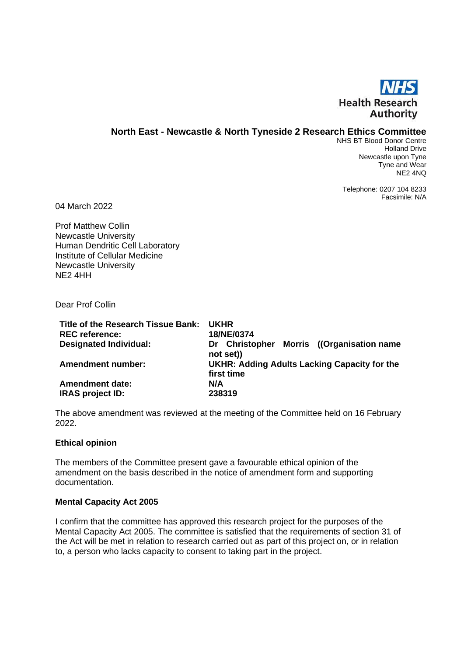

## **North East - Newcastle & North Tyneside 2 Research Ethics Committee**

NHS BT Blood Donor Centre Holland Drive Newcastle upon Tyne Tyne and Wear NE2 4NQ

Telephone: 0207 104 8233 Facsimile: N/A

04 March 2022

Prof Matthew Collin Newcastle University Human Dendritic Cell Laboratory Institute of Cellular Medicine Newcastle University NE2 4HH

Dear Prof Collin

| Title of the Research Tissue Bank:<br><b>REC</b> reference: | <b>UKHR</b><br>18/NE/0374                                         |  |
|-------------------------------------------------------------|-------------------------------------------------------------------|--|
| <b>Designated Individual:</b>                               | Dr Christopher Morris ((Organisation name)<br>not set))           |  |
| <b>Amendment number:</b>                                    | <b>UKHR: Adding Adults Lacking Capacity for the</b><br>first time |  |
| <b>Amendment date:</b>                                      | N/A                                                               |  |
| <b>IRAS project ID:</b>                                     | 238319                                                            |  |

The above amendment was reviewed at the meeting of the Committee held on 16 February 2022.

#### **Ethical opinion**

The members of the Committee present gave a favourable ethical opinion of the amendment on the basis described in the notice of amendment form and supporting documentation.

#### **Mental Capacity Act 2005**

I confirm that the committee has approved this research project for the purposes of the Mental Capacity Act 2005. The committee is satisfied that the requirements of section 31 of the Act will be met in relation to research carried out as part of this project on, or in relation to, a person who lacks capacity to consent to taking part in the project.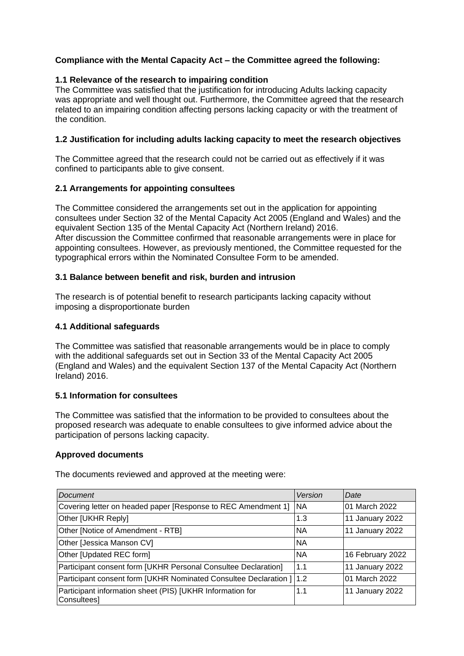# **Compliance with the Mental Capacity Act – the Committee agreed the following:**

## **1.1 Relevance of the research to impairing condition**

The Committee was satisfied that the justification for introducing Adults lacking capacity was appropriate and well thought out. Furthermore, the Committee agreed that the research related to an impairing condition affecting persons lacking capacity or with the treatment of the condition.

## **1.2 Justification for including adults lacking capacity to meet the research objectives**

The Committee agreed that the research could not be carried out as effectively if it was confined to participants able to give consent.

## **2.1 Arrangements for appointing consultees**

The Committee considered the arrangements set out in the application for appointing consultees under Section 32 of the Mental Capacity Act 2005 (England and Wales) and the equivalent Section 135 of the Mental Capacity Act (Northern Ireland) 2016. After discussion the Committee confirmed that reasonable arrangements were in place for appointing consultees. However, as previously mentioned, the Committee requested for the typographical errors within the Nominated Consultee Form to be amended.

## **3.1 Balance between benefit and risk, burden and intrusion**

The research is of potential benefit to research participants lacking capacity without imposing a disproportionate burden

## **4.1 Additional safeguards**

The Committee was satisfied that reasonable arrangements would be in place to comply with the additional safeguards set out in Section 33 of the Mental Capacity Act 2005 (England and Wales) and the equivalent Section 137 of the Mental Capacity Act (Northern Ireland) 2016.

## **5.1 Information for consultees**

The Committee was satisfied that the information to be provided to consultees about the proposed research was adequate to enable consultees to give informed advice about the participation of persons lacking capacity.

## **Approved documents**

| Document                                                                 | Version    | Date             |
|--------------------------------------------------------------------------|------------|------------------|
| Covering letter on headed paper [Response to REC Amendment 1]            | <b>INA</b> | 01 March 2022    |
| Other [UKHR Reply]                                                       | 1.3        | 11 January 2022  |
| Other [Notice of Amendment - RTB]                                        | <b>NA</b>  | 11 January 2022  |
| Other [Jessica Manson CV]                                                | <b>NA</b>  |                  |
| Other [Updated REC form]                                                 | <b>NA</b>  | 16 February 2022 |
| Participant consent form [UKHR Personal Consultee Declaration]           | 1.1        | 11 January 2022  |
| Participant consent form [UKHR Nominated Consultee Declaration ]   1.2   |            | 01 March 2022    |
| Participant information sheet (PIS) [UKHR Information for<br>Consultees] | 1.1        | 11 January 2022  |

The documents reviewed and approved at the meeting were: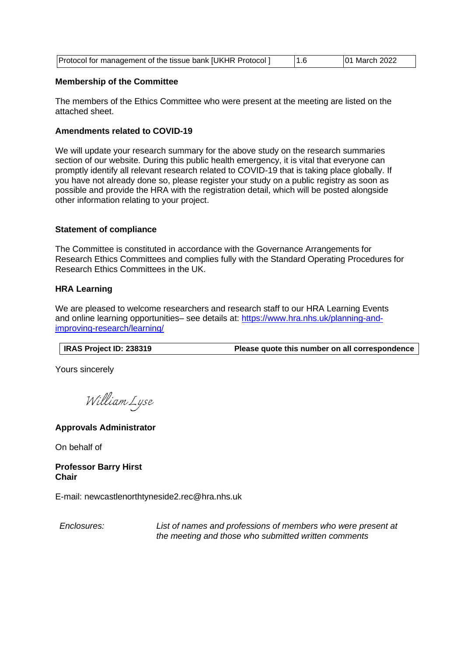| Protocol for management of the tissue bank [UKHR Protocol] | 01 March 2022 |
|------------------------------------------------------------|---------------|
|                                                            |               |

### **Membership of the Committee**

The members of the Ethics Committee who were present at the meeting are listed on the attached sheet.

### **Amendments related to COVID-19**

We will update your research summary for the above study on the research summaries section of our website. During this public health emergency, it is vital that everyone can promptly identify all relevant research related to COVID-19 that is taking place globally. If you have not already done so, please register your study on a public registry as soon as possible and provide the HRA with the registration detail, which will be posted alongside other information relating to your project.

### **Statement of compliance**

The Committee is constituted in accordance with the Governance Arrangements for Research Ethics Committees and complies fully with the Standard Operating Procedures for Research Ethics Committees in the UK.

### **HRA Learning**

We are pleased to welcome researchers and research staff to our HRA Learning Events and online learning opportunities- see details at: [https://www.hra.nhs.uk/planning-and](https://www.hra.nhs.uk/planning-and-improving-research/learning/)[improving-research/learning/](https://www.hra.nhs.uk/planning-and-improving-research/learning/)

**IRAS Project ID: 238319 Please quote this number on all correspondence**

Yours sincerely

William Lyse

## **Approvals Administrator**

On behalf of

**Professor Barry Hirst Chair**

E-mail: newcastlenorthtyneside2.rec@hra.nhs.uk

*Enclosures: List of names and professions of members who were present at the meeting and those who submitted written comments*